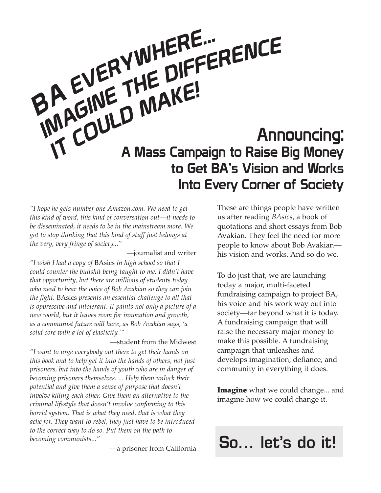# Announcing: A Mass Campaign to Raise Big Money to Get BA's Vision and Works Into Every Corner of Society BA EVERYWHERE... IMAGINE THE DIFFERENCE IVIT COULD MAKE!

*"I hope he gets number one Amazon.com. We need to get this kind of word, this kind of conversation out—it needs to be disseminated, it needs to be in the mainstream more. We got to stop thinking that this kind of stuff just belongs at the very, very fringe of society..."*

—journalist and writer

*"I wish I had a copy of* BAsics *in high school so that I could counter the bullshit being taught to me. I didn't have that opportunity, but there are millions of students today who need to hear the voice of Bob Avakian so they can join the fight.* BAsics *presents an essential challenge to all that is oppressive and intolerant. It paints not only a picture of a new world, but it leaves room for innovation and growth, as a communist future will have, as Bob Avakian says, 'a solid core with a lot of elasticity.'"*

—student from the Midwest

*"I want to urge everybody out there to get their hands on this book and to help get it into the hands of others, not just prisoners, but into the hands of youth who are in danger of becoming prisoners themselves. ... Help them unlock their potential and give them a sense of purpose that doesn't involve killing each other. Give them an alternative to the criminal lifestyle that doesn't involve conforming to this horrid system. That is what they need, that is what they ache for. They want to rebel, they just have to be introduced to the correct way to do so. Put them on the path to becoming communists..."*

—a prisoner from California

These are things people have written us after reading *BAsics*, a book of quotations and short essays from Bob Avakian. They feel the need for more people to know about Bob Avakian his vision and works. And so do we.

To do just that, we are launching today a major, multi-faceted fundraising campaign to project BA, his voice and his work way out into society—far beyond what it is today. A fundraising campaign that will raise the necessary major money to make this possible. A fundraising campaign that unleashes and develops imagination, defiance, and community in everything it does.

**Imagine** what we could change... and imagine how we could change it.

## So... let's do it!